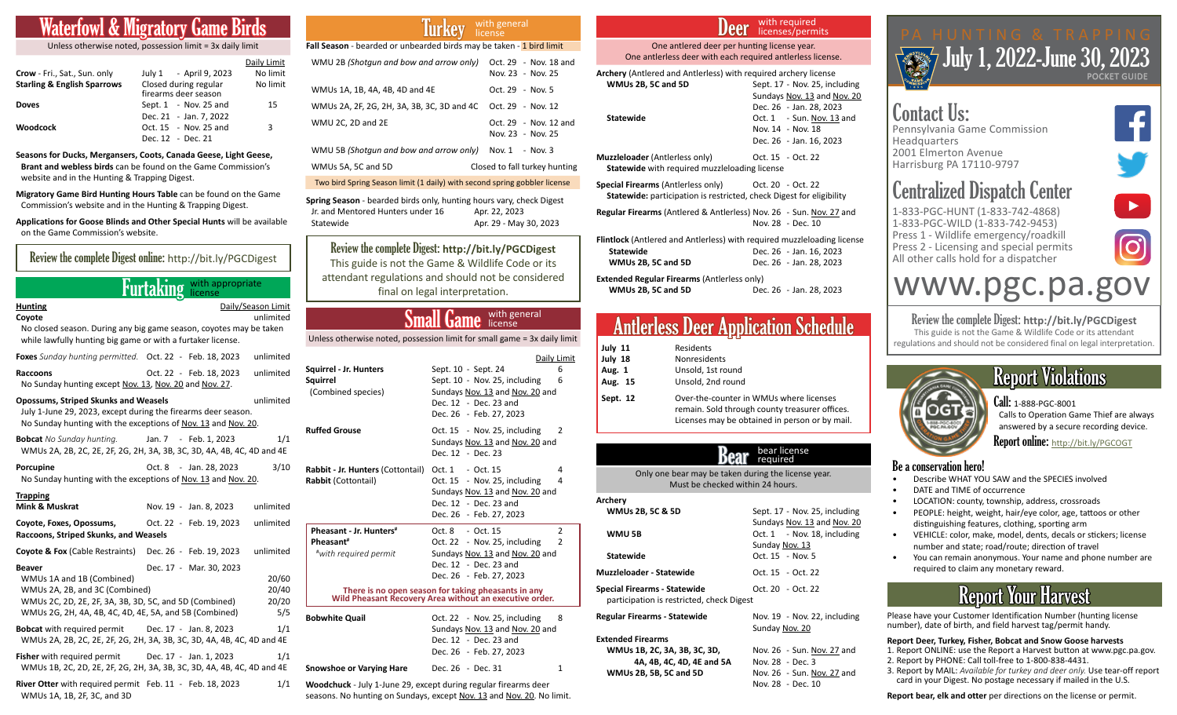## <u>Wigratory Game</u>

Unless otherwise noted, possession limit = 3x daily limit

|                                        |                                               | Daily Limit |
|----------------------------------------|-----------------------------------------------|-------------|
| Crow - Fri., Sat., Sun. only           | July 1 - April 9, 2023                        | No limit    |
| <b>Starling &amp; English Sparrows</b> | Closed during regular<br>firearms deer season | No limit    |
| <b>Doves</b>                           | Sept. $1 - Nov. 25$ and                       | 15          |
|                                        | Dec. 21 - Jan. 7, 2022                        |             |
| Woodcock                               | Oct. 15 - Nov. 25 and                         | 3           |
|                                        | Dec. 12 - Dec. 21                             |             |

**Seasons for Ducks, Mergansers, Coots, Canada Geese, Light Geese, Brant and webless birds** can be found on the Game Commission's website and in the Hunting & Trapping Digest.

**Migratory Game Bird Hunting Hours Table** can be found on the Game Commission's website and in the Hunting & Trapping Digest.

**Applications for Goose Blinds and Other Special Hunts** will be available on the Game Commission's website.

| Review the complete Digest online: http://bit.ly/PGCDigest                                                                                                                                       |                            |                                 |
|--------------------------------------------------------------------------------------------------------------------------------------------------------------------------------------------------|----------------------------|---------------------------------|
|                                                                                                                                                                                                  | Furtaking With appropriate |                                 |
| <b>Hunting</b><br>Coyote<br>No closed season. During any big game season, coyotes may be taken<br>while lawfully hunting big game or with a furtaker license.                                    |                            | Daily/Season Limit<br>unlimited |
| Foxes Sunday hunting permitted. Oct. 22 - Feb. 18, 2023                                                                                                                                          |                            | unlimited                       |
| <b>Raccoons</b><br>No Sunday hunting except Nov. 13, Nov. 20 and Nov. 27.                                                                                                                        | Oct. 22 - Feb. 18, 2023    | unlimited                       |
| <b>Opossums, Striped Skunks and Weasels</b><br>July 1-June 29, 2023, except during the firearms deer season.<br>No Sunday hunting with the exceptions of Nov. 13 and Nov. 20.                    |                            | unlimited                       |
| <b>Bobcat</b> No Sunday hunting.<br>WMUs 2A, 2B, 2C, 2E, 2F, 2G, 2H, 3A, 3B, 3C, 3D, 4A, 4B, 4C, 4D and 4E                                                                                       | Jan. 7 - Feb. 1, 2023      | 1/1                             |
| Porcupine<br>No Sunday hunting with the exceptions of Nov. 13 and Nov. 20.                                                                                                                       | Oct. 8 - Jan. 28, 2023     | 3/10                            |
| <b>Trapping</b><br>Mink & Muskrat                                                                                                                                                                | Nov. 19 - Jan. 8, 2023     | unlimited                       |
| Coyote, Foxes, Opossums,<br>Raccoons, Striped Skunks, and Weasels                                                                                                                                | Oct. 22 - Feb. 19, 2023    | unlimited                       |
| <b>Coyote &amp; Fox (Cable Restraints)</b>                                                                                                                                                       | Dec. 26 - Feb. 19, 2023    | unlimited                       |
| <b>Beaver</b><br>WMUs 1A and 1B (Combined)<br>WMUs 2A, 2B, and 3C (Combined)<br>WMUs 2C, 2D, 2E, 2F, 3A, 3B, 3D, 5C, and 5D (Combined)<br>WMUs 2G, 2H, 4A, 4B, 4C, 4D, 4E, 5A, and 5B (Combined) | Dec. 17 - Mar. 30, 2023    | 20/60<br>20/40<br>20/20<br>5/5  |
| <b>Bobcat</b> with required permit<br>WMUs 2A, 2B, 2C, 2E, 2F, 2G, 2H, 3A, 3B, 3C, 3D, 4A, 4B, 4C, 4D and 4E                                                                                     | Dec. 17 - Jan. 8, 2023     | 1/1                             |
| <b>Fisher</b> with required permit Dec. 17 - Jan. 1, 2023<br>WMUs 1B, 2C, 2D, 2E, 2F, 2G, 2H, 3A, 3B, 3C, 3D, 4A, 4B, 4C, 4D and 4E                                                              |                            | 1/1                             |
| River Otter with required permit Feb. 11 - Feb. 18, 2023<br>WMUs 1A, 1B, 2F, 3C, and 3D                                                                                                          |                            | 1/1                             |

### Iurkey with general license

| Fall Season - bearded or unbearded birds may be taken - 1 bird limit      |                                            |  |
|---------------------------------------------------------------------------|--------------------------------------------|--|
| WMU 2B (Shotgun and bow and arrow only)                                   | Oct. 29 - Nov. 18 and<br>Nov. 23 - Nov. 25 |  |
| WMUs 1A, 1B, 4A, 4B, 4D and 4E                                            | Oct. 29 - Nov. 5                           |  |
| WMUs 2A, 2F, 2G, 2H, 3A, 3B, 3C, 3D and 4C                                | Oct. 29 - Nov. 12                          |  |
| WMU 2C. 2D and 2E                                                         | Oct. 29 - Nov. 12 and<br>Nov. 23 - Nov. 25 |  |
| WMU 5B (Shotgun and bow and arrow only)                                   | Nov. 1 - Nov. 3                            |  |
| WMUs 5A, 5C and 5D                                                        | Closed to fall turkey hunting              |  |
| Two bird Spring Season limit (1 daily) with second spring gobbler license |                                            |  |

**Spring Season** - bearded birds only, hunting hours vary, check Digest Jr. and Mentored Hunters under 16 Apr. 22, 2023 Statewide **Apr. 29 - May 30, 2023** 

Review the complete Digest: http://bit.ly/PGCDigest This guide is not the Game & Wildlife Code or its attendant regulations and should not be considered final on legal interpretation.

### Small Game with general license

less otherwise noted, possession limit for small game = 3x daily limit

|                                                                           |                                                                                                                                                                                                                                                           | Daily Limit                     |
|---------------------------------------------------------------------------|-----------------------------------------------------------------------------------------------------------------------------------------------------------------------------------------------------------------------------------------------------------|---------------------------------|
| Squirrel - Jr. Hunters<br>Sauirrel<br>(Combined species)                  | Sept. 10 - Sept. 24<br>Sept. 10 - Nov. 25, including<br>Sundays Nov. 13 and Nov. 20 and<br>Dec. 12 - Dec. 23 and<br>Dec. 26 - Feb. 27, 2023                                                                                                               | 6<br>6                          |
| <b>Ruffed Grouse</b>                                                      | Oct. 15 - Nov. 25, including<br>Sundays Nov. 13 and Nov. 20 and<br>Dec. 12 - Dec. 23                                                                                                                                                                      | $\mathcal{P}$                   |
| Rabbit - Jr. Hunters (Cottontail)<br><b>Rabbit (Cottontail)</b>           | Oct. 1 - Oct. 15<br>Oct. 15 - Nov. 25, including<br>Sundays Nov. 13 and Nov. 20 and<br>Dec. 12 - Dec. 23 and<br>Dec. 26 - Feb. 27, 2023                                                                                                                   | 4<br>4                          |
| Pheasant - Jr. Hunters <sup>#</sup><br>Pheasant#<br>#with required permit | Oct. 8 - Oct. 15<br>Oct. 22 - Nov. 25, including<br>Sundays Nov. 13 and Nov. 20 and<br>Dec. 12 - Dec. 23 and<br>Dec. 26 - Feb. 27, 2023<br>There is no open season for taking pheasants in any<br>Wild Pheasant Recovery Area without an executive order. | $\overline{2}$<br>$\mathcal{P}$ |
| <b>Bobwhite Quail</b>                                                     | Oct. 22 - Nov. 25, including<br>Sundays Nov. 13 and Nov. 20 and<br>Dec. 12 - Dec. 23 and<br>Dec. 26 - Feb. 27, 2023                                                                                                                                       | 8                               |
| Snowshoe or Varying Hare                                                  | Dec. 26 - Dec. 31                                                                                                                                                                                                                                         | 1                               |

**Woodchuck** - July 1-June 29, except during regular firearms deer seasons. No hunting on Sundays, except Nov. 13 and Nov. 20. No limit.

### Deer with required licenses/permits

One antlered deer per hunting license year. One antlerless deer with each required antlerless license.

| <b>Archery</b> (Antlered and Antlerless) with required archery license                 |                               |
|----------------------------------------------------------------------------------------|-------------------------------|
| WMUs 2B, 5C and 5D                                                                     | Sept. 17 - Nov. 25, including |
|                                                                                        | Sundays Nov. 13 and Nov. 20   |
|                                                                                        | Dec. 26 - Jan. 28, 2023       |
| <b>Statewide</b>                                                                       | Oct. 1 - Sun. Nov. 13 and     |
|                                                                                        | Nov. 14 - Nov. 18             |
|                                                                                        | Dec. 26 - Jan. 16, 2023       |
| Muzzleloader (Antierless only)<br><b>Statewide</b> with required muzzleloading license | Oct. 15 - Oct. 22             |
| <b>Special Firearms (Antierless only)</b>                                              | Oct. 20 - Oct. 22             |
| <b>Statewide:</b> participation is restricted, check Digest for eligibility            |                               |

**Regular Firearms** (Antlered & Antlerless) Nov. 26 - Sun. Nov. 27 and Nov. 28 - Dec. 10

| <b>Flintlock</b> (Antlered and Antlerless) with required muzzleloading license |                         |
|--------------------------------------------------------------------------------|-------------------------|
| Statewide                                                                      | Dec. 26 - Jan. 16, 2023 |
| WMUs 2B, 5C and 5D                                                             | Dec. 26 - Jan. 28, 2023 |

**Extended Regular Firearms** (Antlerless only) **WMUs 2B, 5C and 5D** Dec. 26 - Jan. 28, 2023

### Antlerless Deer Application Schedule

| July 11  | Residents                                                                                                                                   |
|----------|---------------------------------------------------------------------------------------------------------------------------------------------|
| July 18  | <b>Nonresidents</b>                                                                                                                         |
| Aug. 1   | Unsold, 1st round                                                                                                                           |
| Aug. 15  | Unsold, 2nd round                                                                                                                           |
| Sept. 12 | Over-the-counter in WMUs where licenses<br>remain. Sold through county treasurer offices.<br>Licenses may be obtained in person or by mail. |

|                                                                                         | bear license<br>required                                     |
|-----------------------------------------------------------------------------------------|--------------------------------------------------------------|
| Only one bear may be taken during the license year.<br>Must be checked within 24 hours. |                                                              |
| Archery<br><b>WMUs 2B, 5C &amp; 5D</b>                                                  | Sept. 17 - Nov. 25, including<br>Sundays Nov. 13 and Nov. 20 |
| WMU 5B                                                                                  | Oct. 1 - Nov. 18, including<br>Sunday Nov. 13                |
| <b>Statewide</b><br>Muzzleloader - Statewide                                            | Oct. 15 - Nov. 5<br>Oct. 15 - Oct. 22                        |
| Special Firearms - Statewide<br>participation is restricted, check Digest               | Oct. 20 - Oct. 22                                            |
| Regular Firearms - Statewide                                                            | Nov. 19 - Nov. 22, including<br>Sunday Nov. 20               |
| <b>Extended Firearms</b><br>WMUs 1B, 2C, 3A, 3B, 3C, 3D,<br>4A, 4B, 4C, 4D, 4E and 5A   | Nov. 26 - Sun. Nov. 27 and<br>Nov. 28 - Dec. 3               |
| <b>WMUs 2B, 5B, 5C and 5D</b>                                                           | Nov. 26 - Sun. Nov. 27 and                                   |

Nov. 28 - Dec. 10



## Contact Us:

Pennsylvania Game Commission **Headquarters** 2001 Elmerton Avenue Harrisburg PA 17110-9797

## Centralized Dispatch Center

1-833-PGC-HUNT (1-833-742-4868) 1-833-PGC-WILD (1-833-742-9453) Press 1 - Wildlife emergency/roadkill Press 2 - Licensing and special permits All other calls hold for a dispatcher



# [www.pgc.pa.gov](http://www.pgc.pa.gov)

Review the complete Digest: **http://bit.ly/PGCDigest** This guide is not the Game & Wildlife Code or its attendant regulations and should not be considered final on legal interpretation.



## Report Violations

Call: 1-888-PGC-8001 Calls to Operation Game Thief are always answered by a secure recording device. Report online: http://bit.ly/PGCOGT

### Be a conservation hero!

- Describe WHAT YOU SAW and the SPECIES involved
- DATE and TIME of occurrence
	- LOCATION: county, township, address, crossroads • PEOPLE: height, weight, hair/eye color, age, tattoos or other
- distinguishing features, clothing, sporting arm • VEHICLE: color, make, model, dents, decals or stickers; license
- number and state; road/route; direction of travel
- You can remain anonymous. Your name and phone number are required to claim any monetary reward.

## Report Your Harvest

Please have your Customer Identification Number (hunting license number), date of birth, and field harvest tag/permit handy.

### **Report Deer, Turkey, Fisher, Bobcat and Snow Goose harvests**

- 1. Report ONLINE: use the Report a Harvest button at www.pgc.pa.gov.
- 2. Report by PHONE: Call toll-free to 1-800-838-4431.
- 3. Report by MAIL: *Available for turkey and deer only.* Use tear-off report card in your Digest. No postage necessary if mailed in the U.S.

**Report bear, elk and otter** per directions on the license or permit.